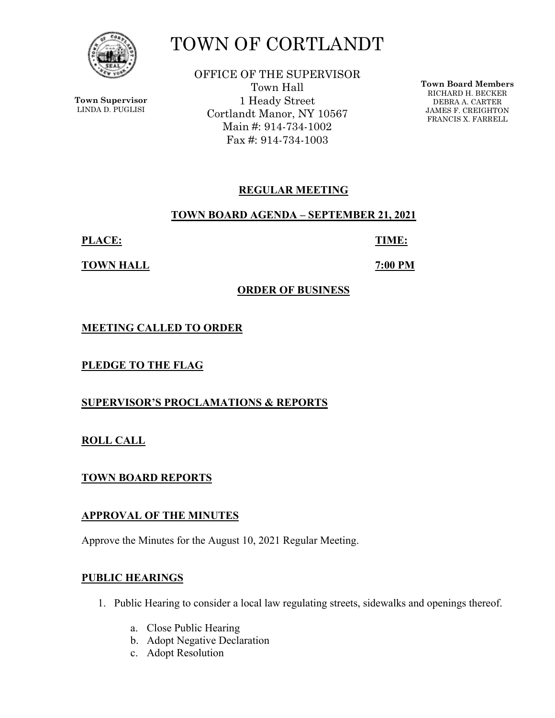

**Town Supervisor** LINDA D. PUGLISI

# TOWN OF CORTLANDT

OFFICE OF THE SUPERVISOR Town Hall 1 Heady Street Cortlandt Manor, NY 10567 Main #: 914-734-1002 Fax #: 914-734-1003

**Town Board Members** RICHARD H. BECKER DEBRA A. CARTER JAMES F. CREIGHTON FRANCIS X. FARRELL

# **REGULAR MEETING**

#### **TOWN BOARD AGENDA – SEPTEMBER 21, 2021**

**PLACE: TIME:** 

**TOWN HALL 7:00 PM** 

# **ORDER OF BUSINESS**

**MEETING CALLED TO ORDER** 

**PLEDGE TO THE FLAG** 

**SUPERVISOR'S PROCLAMATIONS & REPORTS** 

**ROLL CALL** 

**TOWN BOARD REPORTS** 

# **APPROVAL OF THE MINUTES**

Approve the Minutes for the August 10, 2021 Regular Meeting.

# **PUBLIC HEARINGS**

- 1. Public Hearing to consider a local law regulating streets, sidewalks and openings thereof.
	- a. Close Public Hearing
	- b. Adopt Negative Declaration
	- c. Adopt Resolution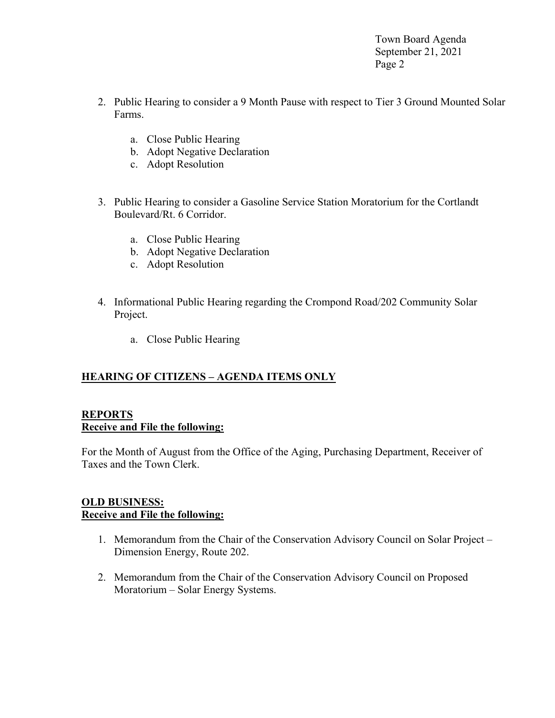Town Board Agenda September 21, 2021 Page 2

- 2. Public Hearing to consider a 9 Month Pause with respect to Tier 3 Ground Mounted Solar Farms.
	- a. Close Public Hearing
	- b. Adopt Negative Declaration
	- c. Adopt Resolution
- 3. Public Hearing to consider a Gasoline Service Station Moratorium for the Cortlandt Boulevard/Rt. 6 Corridor.
	- a. Close Public Hearing
	- b. Adopt Negative Declaration
	- c. Adopt Resolution
- 4. Informational Public Hearing regarding the Crompond Road/202 Community Solar Project.
	- a. Close Public Hearing

# **HEARING OF CITIZENS – AGENDA ITEMS ONLY**

# **REPORTS Receive and File the following:**

For the Month of August from the Office of the Aging, Purchasing Department, Receiver of Taxes and the Town Clerk.

# **OLD BUSINESS: Receive and File the following:**

- 1. Memorandum from the Chair of the Conservation Advisory Council on Solar Project Dimension Energy, Route 202.
- 2. Memorandum from the Chair of the Conservation Advisory Council on Proposed Moratorium – Solar Energy Systems.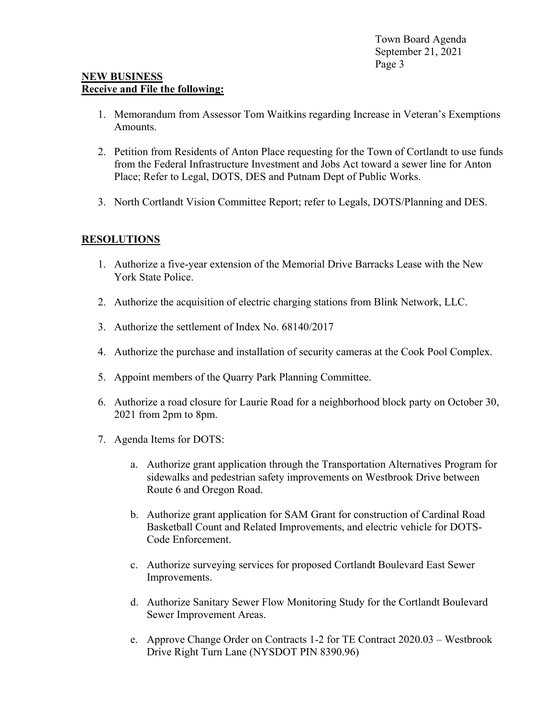#### **NEW BUSINESS Receive and File the following:**

- 1. Memorandum from Assessor Tom Waitkins regarding Increase in Veteran's Exemptions Amounts.
- 2. Petition from Residents of Anton Place requesting for the Town of Cortlandt to use funds from the Federal Infrastructure Investment and Jobs Act toward a sewer line for Anton Place; Refer to Legal, DOTS, DES and Putnam Dept of Public Works.
- 3. North Cortlandt Vision Committee Report; refer to Legals, DOTS/Planning and DES.

# **RESOLUTIONS**

- 1. Authorize a five-year extension of the Memorial Drive Barracks Lease with the New York State Police.
- 2. Authorize the acquisition of electric charging stations from Blink Network, LLC.
- 3. Authorize the settlement of Index No. 68140/2017
- 4. Authorize the purchase and installation of security cameras at the Cook Pool Complex.
- 5. Appoint members of the Quarry Park Planning Committee.
- 6. Authorize a road closure for Laurie Road for a neighborhood block party on October 30, 2021 from 2pm to 8pm.
- 7. Agenda Items for DOTS:
	- a. Authorize grant application through the Transportation Alternatives Program for sidewalks and pedestrian safety improvements on Westbrook Drive between Route 6 and Oregon Road.
	- b. Authorize grant application for SAM Grant for construction of Cardinal Road Basketball Count and Related Improvements, and electric vehicle for DOTS-Code Enforcement.
	- c. Authorize surveying services for proposed Cortlandt Boulevard East Sewer Improvements.
	- d. Authorize Sanitary Sewer Flow Monitoring Study for the Cortlandt Boulevard Sewer Improvement Areas.
	- e. Approve Change Order on Contracts 1-2 for TE Contract 2020.03 Westbrook Drive Right Turn Lane (NYSDOT PIN 8390.96)